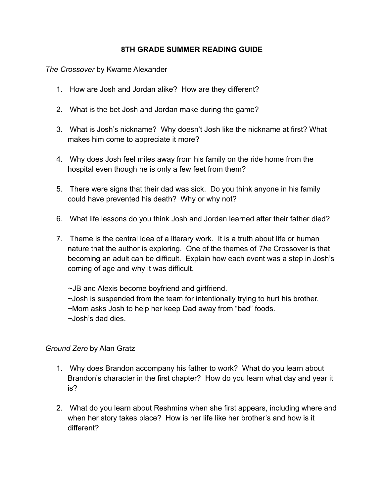## **8TH GRADE SUMMER READING GUIDE**

*The Crossover* by Kwame Alexander

- 1. How are Josh and Jordan alike? How are they different?
- 2. What is the bet Josh and Jordan make during the game?
- 3. What is Josh's nickname? Why doesn't Josh like the nickname at first? What makes him come to appreciate it more?
- 4. Why does Josh feel miles away from his family on the ride home from the hospital even though he is only a few feet from them?
- 5. There were signs that their dad was sick. Do you think anyone in his family could have prevented his death? Why or why not?
- 6. What life lessons do you think Josh and Jordan learned after their father died?
- 7. Theme is the central idea of a literary work. It is a truth about life or human nature that the author is exploring. One of the themes of *The* Crossover is that becoming an adult can be difficult. Explain how each event was a step in Josh's coming of age and why it was difficult.

~JB and Alexis become boyfriend and girlfriend. ~Josh is suspended from the team for intentionally trying to hurt his brother. ~Mom asks Josh to help her keep Dad away from "bad" foods. ~Josh's dad dies.

## *Ground Zero* by Alan Gratz

- 1. Why does Brandon accompany his father to work? What do you learn about Brandon's character in the first chapter? How do you learn what day and year it is?
- 2. What do you learn about Reshmina when she first appears, including where and when her story takes place? How is her life like her brother's and how is it different?